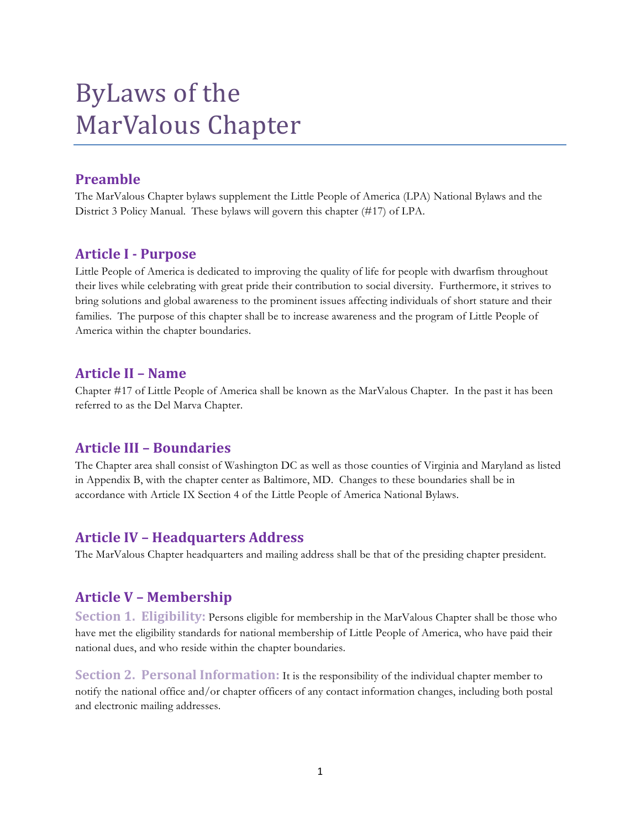# ByLaws of the MarValous Chapter

# **Preamble**

The MarValous Chapter bylaws supplement the Little People of America (LPA) National Bylaws and the District 3 Policy Manual. These bylaws will govern this chapter (#17) of LPA.

## **Article(I(. Purpose**

Little People of America is dedicated to improving the quality of life for people with dwarfism throughout their lives while celebrating with great pride their contribution to social diversity. Furthermore, it strives to bring solutions and global awareness to the prominent issues affecting individuals of short stature and their families. The purpose of this chapter shall be to increase awareness and the program of Little People of America within the chapter boundaries.

## **Article(II(– Name**

Chapter #17 of Little People of America shall be known as the MarValous Chapter. In the past it has been referred to as the Del Marva Chapter.

# **Article(III(– Boundaries**

The Chapter area shall consist of Washington DC as well as those counties of Virginia and Maryland as listed in Appendix B, with the chapter center as Baltimore, MD. Changes to these boundaries shall be in accordance with Article IX Section 4 of the Little People of America National Bylaws.

## **Article IV - Headquarters Address**

The MarValous Chapter headquarters and mailing address shall be that of the presiding chapter president.

# **Article V - Membership**

**Section 1. Eligibility:** Persons eligible for membership in the MarValous Chapter shall be those who have met the eligibility standards for national membership of Little People of America, who have paid their national dues, and who reside within the chapter boundaries.

**Section 2. Personal Information:** It is the responsibility of the individual chapter member to notify the national office and/or chapter officers of any contact information changes, including both postal and electronic mailing addresses.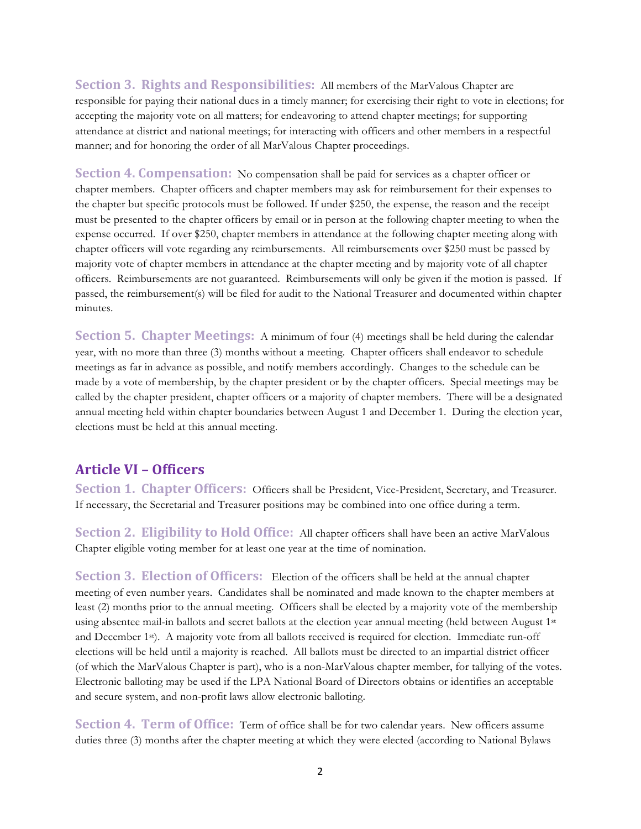**Section 3. Rights and Responsibilities:** All members of the MarValous Chapter are responsible for paying their national dues in a timely manner; for exercising their right to vote in elections; for accepting the majority vote on all matters; for endeavoring to attend chapter meetings; for supporting attendance at district and national meetings; for interacting with officers and other members in a respectful manner; and for honoring the order of all MarValous Chapter proceedings.

**Section 4. Compensation:** No compensation shall be paid for services as a chapter officer or chapter members. Chapter officers and chapter members may ask for reimbursement for their expenses to the chapter but specific protocols must be followed. If under \$250, the expense, the reason and the receipt must be presented to the chapter officers by email or in person at the following chapter meeting to when the expense occurred. If over \$250, chapter members in attendance at the following chapter meeting along with chapter officers will vote regarding any reimbursements. All reimbursements over \$250 must be passed by majority vote of chapter members in attendance at the chapter meeting and by majority vote of all chapter officers. Reimbursements are not guaranteed. Reimbursements will only be given if the motion is passed. If passed, the reimbursement(s) will be filed for audit to the National Treasurer and documented within chapter minutes.

**Section 5. Chapter Meetings:** A minimum of four (4) meetings shall be held during the calendar year, with no more than three (3) months without a meeting. Chapter officers shall endeavor to schedule meetings as far in advance as possible, and notify members accordingly. Changes to the schedule can be made by a vote of membership, by the chapter president or by the chapter officers. Special meetings may be called by the chapter president, chapter officers or a majority of chapter members. There will be a designated annual meeting held within chapter boundaries between August 1 and December 1. During the election year, elections must be held at this annual meeting.

#### **Article(VI(– Officers**

**Section 1. Chapter Officers:** Officers shall be President, Vice-President, Secretary, and Treasurer. If necessary, the Secretarial and Treasurer positions may be combined into one office during a term.

**Section 2. Eligibility to Hold Office:** All chapter officers shall have been an active MarValous Chapter eligible voting member for at least one year at the time of nomination.

**Section 3. Election of Officers:** Election of the officers shall be held at the annual chapter meeting of even number years. Candidates shall be nominated and made known to the chapter members at least (2) months prior to the annual meeting. Officers shall be elected by a majority vote of the membership using absentee mail-in ballots and secret ballots at the election year annual meeting (held between August 1st and December 1st). A majority vote from all ballots received is required for election. Immediate run-off elections will be held until a majority is reached. All ballots must be directed to an impartial district officer (of which the MarValous Chapter is part), who is a non-MarValous chapter member, for tallying of the votes. Electronic balloting may be used if the LPA National Board of Directors obtains or identifies an acceptable and secure system, and non-profit laws allow electronic balloting.

**Section 4. Term of Office:** Term of office shall be for two calendar years. New officers assume duties three (3) months after the chapter meeting at which they were elected (according to National Bylaws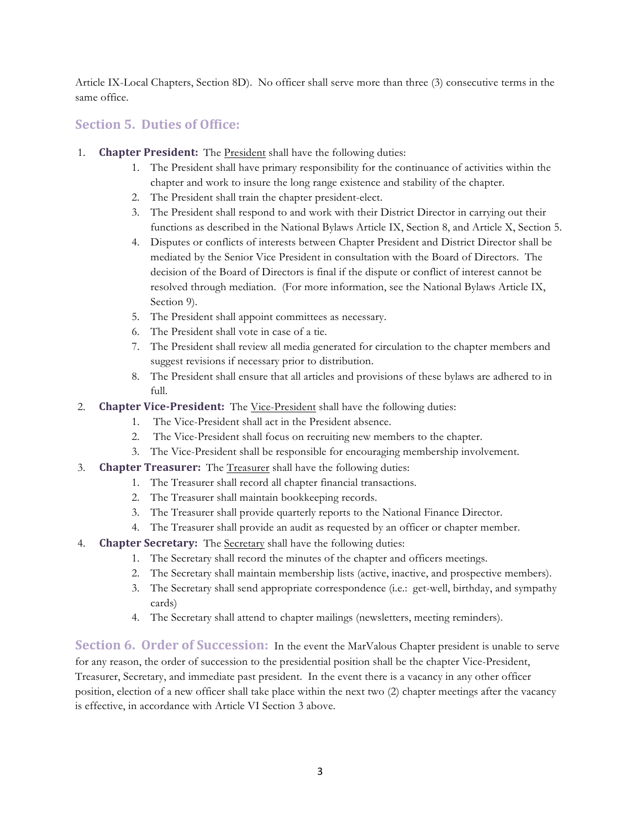Article IX-Local Chapters, Section 8D). No officer shall serve more than three (3) consecutive terms in the same office.

## **Section 5. Duties of Office:**

- 1. **Chapter President:** The **President** shall have the following duties:
	- 1. The President shall have primary responsibility for the continuance of activities within the chapter and work to insure the long range existence and stability of the chapter.
	- 2. The President shall train the chapter president-elect.
	- 3. The President shall respond to and work with their District Director in carrying out their functions as described in the National Bylaws Article IX, Section 8, and Article X, Section 5.
	- 4. Disputes or conflicts of interests between Chapter President and District Director shall be mediated by the Senior Vice President in consultation with the Board of Directors. The decision of the Board of Directors is final if the dispute or conflict of interest cannot be resolved through mediation. (For more information, see the National Bylaws Article IX, Section 9).
	- 5. The President shall appoint committees as necessary.
	- 6. The President shall vote in case of a tie.
	- 7. The President shall review all media generated for circulation to the chapter members and suggest revisions if necessary prior to distribution.
	- 8. The President shall ensure that all articles and provisions of these bylaws are adhered to in full.
- 2. **Chapter Vice-President:** The Vice-President shall have the following duties:
	- 1. The Vice-President shall act in the President absence.
	- 2. The Vice-President shall focus on recruiting new members to the chapter.
	- 3. The Vice-President shall be responsible for encouraging membership involvement.
- 3. **Chapter Treasurer:** The Treasurer shall have the following duties:
	- 1. The Treasurer shall record all chapter financial transactions.
	- 2. The Treasurer shall maintain bookkeeping records.
	- 3. The Treasurer shall provide quarterly reports to the National Finance Director.
	- 4. The Treasurer shall provide an audit as requested by an officer or chapter member.
- 4. **Chapter Secretary:** The Secretary shall have the following duties:
	- 1. The Secretary shall record the minutes of the chapter and officers meetings.
	- 2. The Secretary shall maintain membership lists (active, inactive, and prospective members).
	- 3. The Secretary shall send appropriate correspondence (i.e.: get-well, birthday, and sympathy cards)
	- 4. The Secretary shall attend to chapter mailings (newsletters, meeting reminders).

**Section 6. Order of Succession:** In the event the MarValous Chapter president is unable to serve for any reason, the order of succession to the presidential position shall be the chapter Vice-President, Treasurer, Secretary, and immediate past president. In the event there is a vacancy in any other officer position, election of a new officer shall take place within the next two (2) chapter meetings after the vacancy is effective, in accordance with Article VI Section 3 above.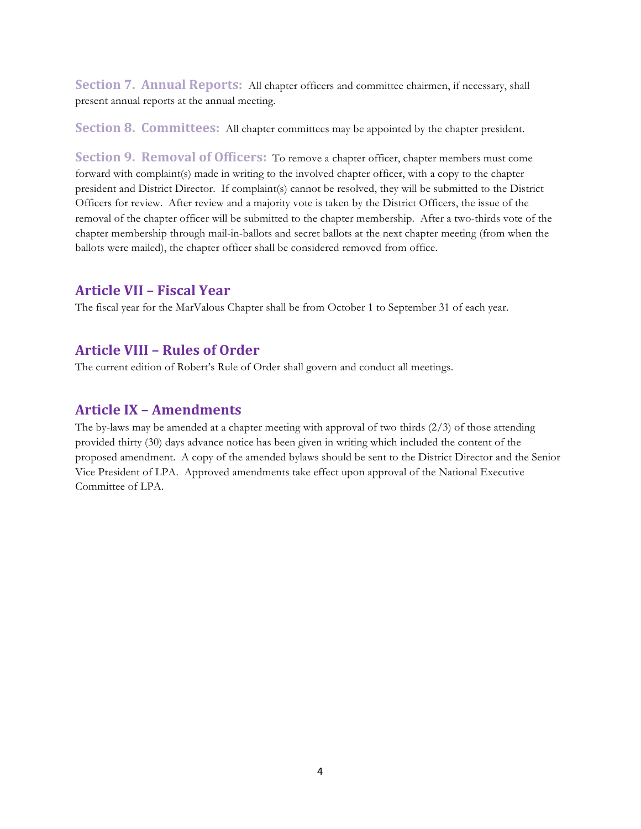Section 7. Annual Reports: All chapter officers and committee chairmen, if necessary, shall present annual reports at the annual meeting.

**Section 8. Committees:** All chapter committees may be appointed by the chapter president.

**Section 9. Removal of Officers:** To remove a chapter officer, chapter members must come forward with complaint(s) made in writing to the involved chapter officer, with a copy to the chapter president and District Director. If complaint(s) cannot be resolved, they will be submitted to the District Officers for review. After review and a majority vote is taken by the District Officers, the issue of the removal of the chapter officer will be submitted to the chapter membership. After a two-thirds vote of the chapter membership through mail-in-ballots and secret ballots at the next chapter meeting (from when the ballots were mailed), the chapter officer shall be considered removed from office.

### **Article(VII(– Fiscal(Year**

The fiscal year for the MarValous Chapter shall be from October 1 to September 31 of each year.

## **Article(VIII(– Rules(of(Order**

The current edition of Robert's Rule of Order shall govern and conduct all meetings.

## **Article IX - Amendments**

The by-laws may be amended at a chapter meeting with approval of two thirds (2/3) of those attending provided thirty (30) days advance notice has been given in writing which included the content of the proposed amendment. A copy of the amended bylaws should be sent to the District Director and the Senior Vice President of LPA. Approved amendments take effect upon approval of the National Executive Committee of LPA.